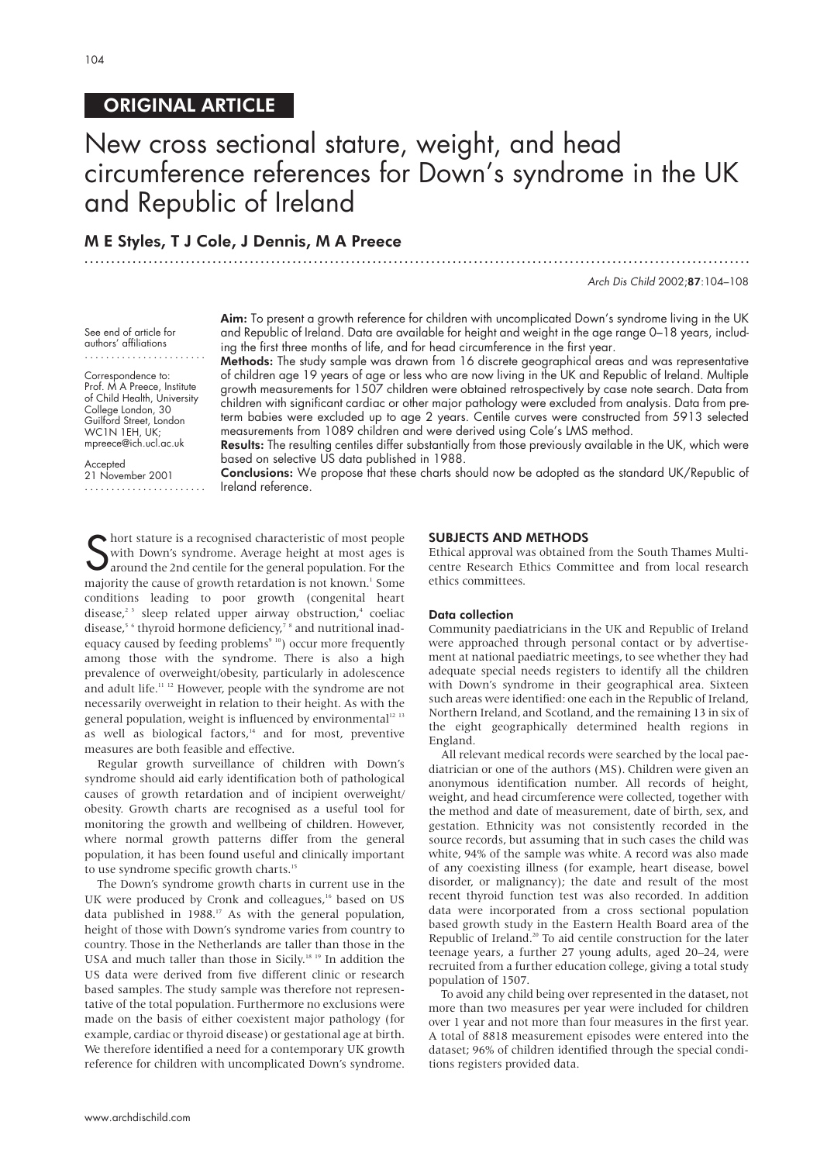# ORIGINAL ARTICLE

# New cross sectional stature, weight, and head circumference references for Down's syndrome in the UK and Republic of Ireland

.............................................................................................................................

## M E Styles, T J Cole, J Dennis, M A Preece

Arch Dis Child 2002;87:104–108

See end of article for authors' affiliations .......................

Correspondence to: Prof. M A Preece, Institute of Child Health, University College London, 30 Guilford Street, London WC1N 1EH, UK; mpreece@ich.ucl.ac.uk

Aim: To present a growth reference for children with uncomplicated Down's syndrome living in the UK and Republic of Ireland. Data are available for height and weight in the age range 0–18 years, including the first three months of life, and for head circumference in the first year.

Methods: The study sample was drawn from 16 discrete geographical areas and was representative of children age 19 years of age or less who are now living in the UK and Republic of Ireland. Multiple growth measurements for 1507 children were obtained retrospectively by case note search. Data from children with significant cardiac or other major pathology were excluded from analysis. Data from preterm babies were excluded up to age 2 years. Centile curves were constructed from 5913 selected measurements from 1089 children and were derived using Cole's LMS method.

Results: The resulting centiles differ substantially from those previously available in the UK, which were based on selective US data published in 1988.

**Accepted** 21 November 2001 .......................

Conclusions: We propose that these charts should now be adopted as the standard UK/Republic of Ireland reference.

S hort stature is a recognised characteristic of most people with Down's syndrome. Average height at most ages is around the 2nd centile for the general population. For the majority the cause of growth retardation is not known.<sup>1</sup> Some conditions leading to poor growth (congenital heart disease,<sup>23</sup> sleep related upper airway obstruction,<sup>4</sup> coeliac disease,<sup>5</sup> <sup>6</sup> thyroid hormone deficiency,<sup>7</sup> <sup>8</sup> and nutritional inadequacy caused by feeding problems<sup>9 10</sup>) occur more frequently among those with the syndrome. There is also a high prevalence of overweight/obesity, particularly in adolescence and adult life.<sup>11 12</sup> However, people with the syndrome are not necessarily overweight in relation to their height. As with the general population, weight is influenced by environmental<sup>12</sup><sup>13</sup> as well as biological factors,<sup>14</sup> and for most, preventive measures are both feasible and effective.

Regular growth surveillance of children with Down's syndrome should aid early identification both of pathological causes of growth retardation and of incipient overweight/ obesity. Growth charts are recognised as a useful tool for monitoring the growth and wellbeing of children. However, where normal growth patterns differ from the general population, it has been found useful and clinically important to use syndrome specific growth charts.<sup>15</sup>

The Down's syndrome growth charts in current use in the UK were produced by Cronk and colleagues,<sup>16</sup> based on US data published in  $1988$ .<sup>17</sup> As with the general population, height of those with Down's syndrome varies from country to country. Those in the Netherlands are taller than those in the USA and much taller than those in Sicily.18 19 In addition the US data were derived from five different clinic or research based samples. The study sample was therefore not representative of the total population. Furthermore no exclusions were made on the basis of either coexistent major pathology (for example, cardiac or thyroid disease) or gestational age at birth. We therefore identified a need for a contemporary UK growth reference for children with uncomplicated Down's syndrome.

## SUBJECTS AND METHODS

Ethical approval was obtained from the South Thames Multicentre Research Ethics Committee and from local research ethics committees.

## Data collection

Community paediatricians in the UK and Republic of Ireland were approached through personal contact or by advertisement at national paediatric meetings, to see whether they had adequate special needs registers to identify all the children with Down's syndrome in their geographical area. Sixteen such areas were identified: one each in the Republic of Ireland, Northern Ireland, and Scotland, and the remaining 13 in six of the eight geographically determined health regions in England.

All relevant medical records were searched by the local paediatrician or one of the authors (MS). Children were given an anonymous identification number. All records of height, weight, and head circumference were collected, together with the method and date of measurement, date of birth, sex, and gestation. Ethnicity was not consistently recorded in the source records, but assuming that in such cases the child was white, 94% of the sample was white. A record was also made of any coexisting illness (for example, heart disease, bowel disorder, or malignancy); the date and result of the most recent thyroid function test was also recorded. In addition data were incorporated from a cross sectional population based growth study in the Eastern Health Board area of the Republic of Ireland.<sup>20</sup> To aid centile construction for the later teenage years, a further 27 young adults, aged 20–24, were recruited from a further education college, giving a total study population of 1507.

To avoid any child being over represented in the dataset, not more than two measures per year were included for children over 1 year and not more than four measures in the first year. A total of 8818 measurement episodes were entered into the dataset; 96% of children identified through the special conditions registers provided data.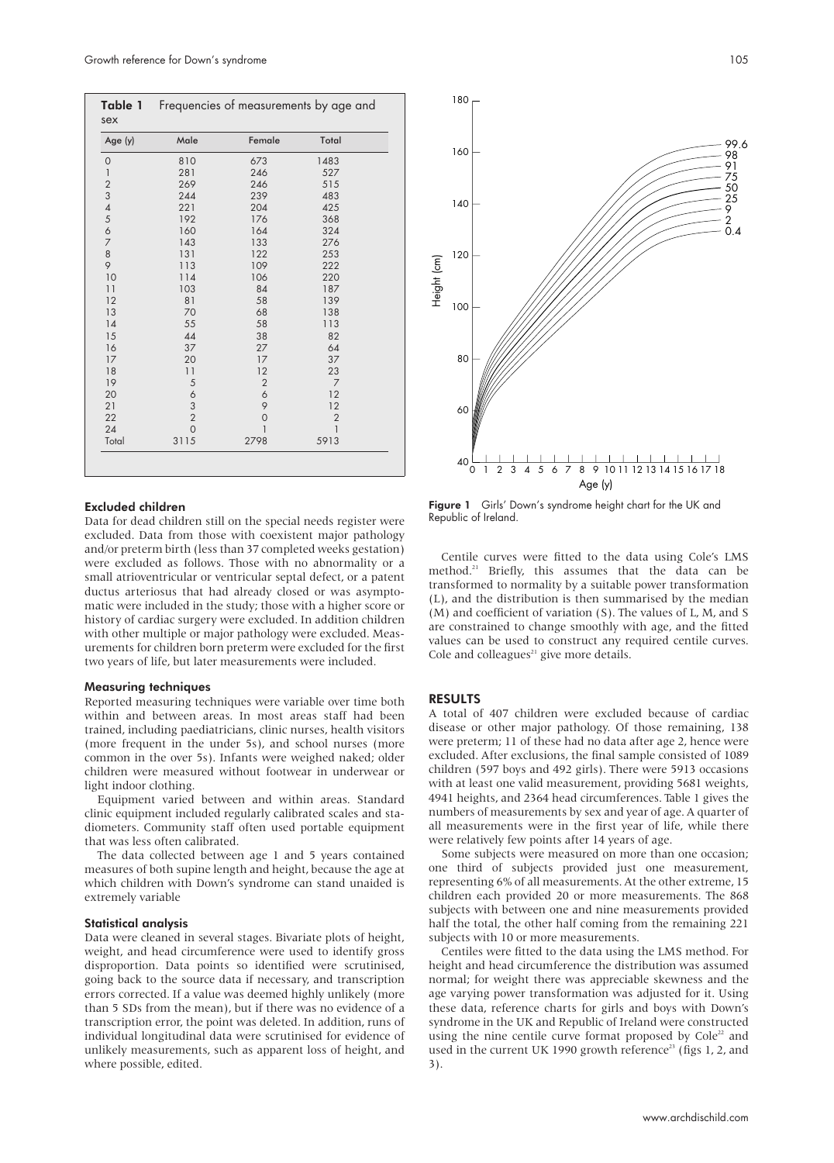| Age (y)                                    | Male           | Female         | Total          |
|--------------------------------------------|----------------|----------------|----------------|
| $\circ$                                    | 810            | 673            | 1483           |
| 1                                          | 281            | 246            | 527            |
|                                            | 269            | 246            | 515            |
| $\begin{array}{c} 2 \\ 3 \\ 4 \end{array}$ | 244            | 239            | 483            |
|                                            | 221            | 204            | 425            |
| 5                                          | 192            | 176            | 368            |
| 6                                          | 160            | 164            | 324            |
| 7                                          | 143            | 133            | 276            |
| 8                                          | 131            | 122            | 253            |
| 9                                          | 113            | 109            | 222            |
| 10                                         | 114            | 106            | 220            |
| 11                                         | 103            | 84             | 187            |
| 12                                         | 81             | 58             | 139            |
| 13                                         | 70             | 68             | 138            |
| 14                                         | 55             | 58             | 113            |
| 15                                         | 44             | 38             | 82             |
| 16                                         | 37             | 27             | 64             |
| 17                                         | 20             | 17             | 37             |
| 18                                         | 11             | 12             | 23             |
| 19                                         | 5              | $\overline{2}$ | 7              |
| 20                                         | 6              | 6              | 12             |
| 21                                         | 3              | 9              | 12             |
| 22                                         | $\overline{2}$ | $\circ$        | $\overline{2}$ |
| 24                                         | $\Omega$       | 1              | 1              |
| Total                                      | 3115           | 2798           | 5913           |

## Excluded children

Data for dead children still on the special needs register were excluded. Data from those with coexistent major pathology and/or preterm birth (less than 37 completed weeks gestation) were excluded as follows. Those with no abnormality or a small atrioventricular or ventricular septal defect, or a patent ductus arteriosus that had already closed or was asymptomatic were included in the study; those with a higher score or history of cardiac surgery were excluded. In addition children with other multiple or major pathology were excluded. Measurements for children born preterm were excluded for the first two years of life, but later measurements were included.

## Measuring techniques

Reported measuring techniques were variable over time both within and between areas. In most areas staff had been trained, including paediatricians, clinic nurses, health visitors (more frequent in the under 5s), and school nurses (more common in the over 5s). Infants were weighed naked; older children were measured without footwear in underwear or light indoor clothing.

Equipment varied between and within areas. Standard clinic equipment included regularly calibrated scales and stadiometers. Community staff often used portable equipment that was less often calibrated.

The data collected between age 1 and 5 years contained measures of both supine length and height, because the age at which children with Down's syndrome can stand unaided is extremely variable

#### Statistical analysis

Data were cleaned in several stages. Bivariate plots of height, weight, and head circumference were used to identify gross disproportion. Data points so identified were scrutinised, going back to the source data if necessary, and transcription errors corrected. If a value was deemed highly unlikely (more than 5 SDs from the mean), but if there was no evidence of a transcription error, the point was deleted. In addition, runs of individual longitudinal data were scrutinised for evidence of unlikely measurements, such as apparent loss of height, and where possible, edited.



Figure 1 Girls' Down's syndrome height chart for the UK and Republic of Ireland.

Centile curves were fitted to the data using Cole's LMS method.<sup>21</sup> Briefly, this assumes that the data can be transformed to normality by a suitable power transformation (L), and the distribution is then summarised by the median (M) and coefficient of variation (S). The values of L, M, and S are constrained to change smoothly with age, and the fitted values can be used to construct any required centile curves. Cole and colleagues<sup>21</sup> give more details.

## RESULTS

A total of 407 children were excluded because of cardiac disease or other major pathology. Of those remaining, 138 were preterm; 11 of these had no data after age 2, hence were excluded. After exclusions, the final sample consisted of 1089 children (597 boys and 492 girls). There were 5913 occasions with at least one valid measurement, providing 5681 weights, 4941 heights, and 2364 head circumferences. Table 1 gives the numbers of measurements by sex and year of age. A quarter of all measurements were in the first year of life, while there were relatively few points after 14 years of age.

Some subjects were measured on more than one occasion; one third of subjects provided just one measurement, representing 6% of all measurements. At the other extreme, 15 children each provided 20 or more measurements. The 868 subjects with between one and nine measurements provided half the total, the other half coming from the remaining 221 subjects with 10 or more measurements.

Centiles were fitted to the data using the LMS method. For height and head circumference the distribution was assumed normal; for weight there was appreciable skewness and the age varying power transformation was adjusted for it. Using these data, reference charts for girls and boys with Down's syndrome in the UK and Republic of Ireland were constructed using the nine centile curve format proposed by Cole<sup>22</sup> and used in the current UK 1990 growth reference<sup>23</sup> (figs 1, 2, and 3).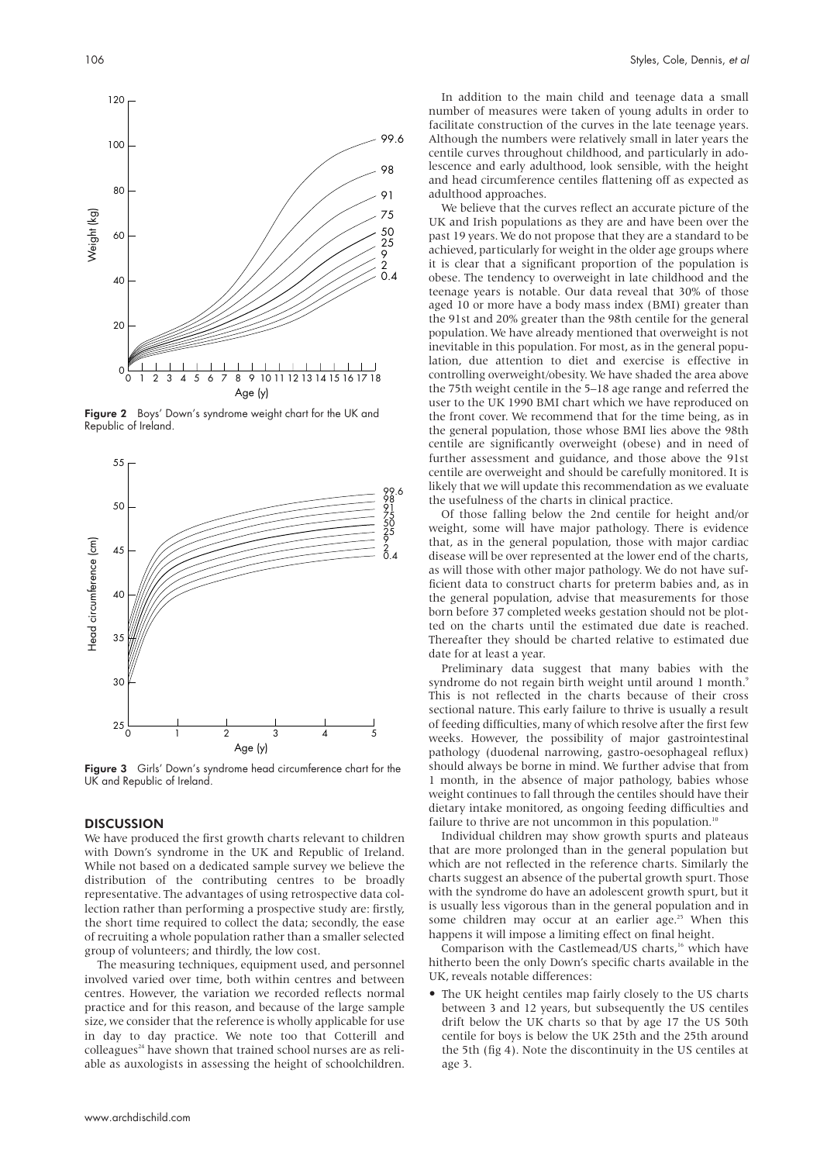

Figure 2 Boys' Down's syndrome weight chart for the UK and Republic of Ireland.



Figure 3 Girls' Down's syndrome head circumference chart for the UK and Republic of Ireland.

## **DISCUSSION**

We have produced the first growth charts relevant to children with Down's syndrome in the UK and Republic of Ireland. While not based on a dedicated sample survey we believe the distribution of the contributing centres to be broadly representative. The advantages of using retrospective data collection rather than performing a prospective study are: firstly, the short time required to collect the data; secondly, the ease of recruiting a whole population rather than a smaller selected group of volunteers; and thirdly, the low cost.

The measuring techniques, equipment used, and personnel involved varied over time, both within centres and between centres. However, the variation we recorded reflects normal practice and for this reason, and because of the large sample size, we consider that the reference is wholly applicable for use in day to day practice. We note too that Cotterill and  $\text{colle}$ egues<sup>24</sup> have shown that trained school nurses are as reliable as auxologists in assessing the height of schoolchildren.

In addition to the main child and teenage data a small number of measures were taken of young adults in order to facilitate construction of the curves in the late teenage years. Although the numbers were relatively small in later years the centile curves throughout childhood, and particularly in adolescence and early adulthood, look sensible, with the height and head circumference centiles flattening off as expected as adulthood approaches.

We believe that the curves reflect an accurate picture of the UK and Irish populations as they are and have been over the past 19 years. We do not propose that they are a standard to be achieved, particularly for weight in the older age groups where it is clear that a significant proportion of the population is obese. The tendency to overweight in late childhood and the teenage years is notable. Our data reveal that 30% of those aged 10 or more have a body mass index (BMI) greater than the 91st and 20% greater than the 98th centile for the general population. We have already mentioned that overweight is not inevitable in this population. For most, as in the general population, due attention to diet and exercise is effective in controlling overweight/obesity. We have shaded the area above the 75th weight centile in the 5–18 age range and referred the user to the UK 1990 BMI chart which we have reproduced on the front cover. We recommend that for the time being, as in the general population, those whose BMI lies above the 98th centile are significantly overweight (obese) and in need of further assessment and guidance, and those above the 91st centile are overweight and should be carefully monitored. It is likely that we will update this recommendation as we evaluate the usefulness of the charts in clinical practice.

Of those falling below the 2nd centile for height and/or weight, some will have major pathology. There is evidence that, as in the general population, those with major cardiac disease will be over represented at the lower end of the charts, as will those with other major pathology. We do not have sufficient data to construct charts for preterm babies and, as in the general population, advise that measurements for those born before 37 completed weeks gestation should not be plotted on the charts until the estimated due date is reached. Thereafter they should be charted relative to estimated due date for at least a year.

Preliminary data suggest that many babies with the syndrome do not regain birth weight until around 1 month.<sup>9</sup> This is not reflected in the charts because of their cross sectional nature. This early failure to thrive is usually a result of feeding difficulties, many of which resolve after the first few weeks. However, the possibility of major gastrointestinal pathology (duodenal narrowing, gastro-oesophageal reflux) should always be borne in mind. We further advise that from 1 month, in the absence of major pathology, babies whose weight continues to fall through the centiles should have their dietary intake monitored, as ongoing feeding difficulties and failure to thrive are not uncommon in this population.<sup>10</sup>

Individual children may show growth spurts and plateaus that are more prolonged than in the general population but which are not reflected in the reference charts. Similarly the charts suggest an absence of the pubertal growth spurt. Those with the syndrome do have an adolescent growth spurt, but it is usually less vigorous than in the general population and in some children may occur at an earlier age.<sup>25</sup> When this happens it will impose a limiting effect on final height.

Comparison with the Castlemead/US charts,<sup>16</sup> which have hitherto been the only Down's specific charts available in the UK, reveals notable differences:

• The UK height centiles map fairly closely to the US charts between 3 and 12 years, but subsequently the US centiles drift below the UK charts so that by age 17 the US 50th centile for boys is below the UK 25th and the 25th around the 5th (fig 4). Note the discontinuity in the US centiles at age 3.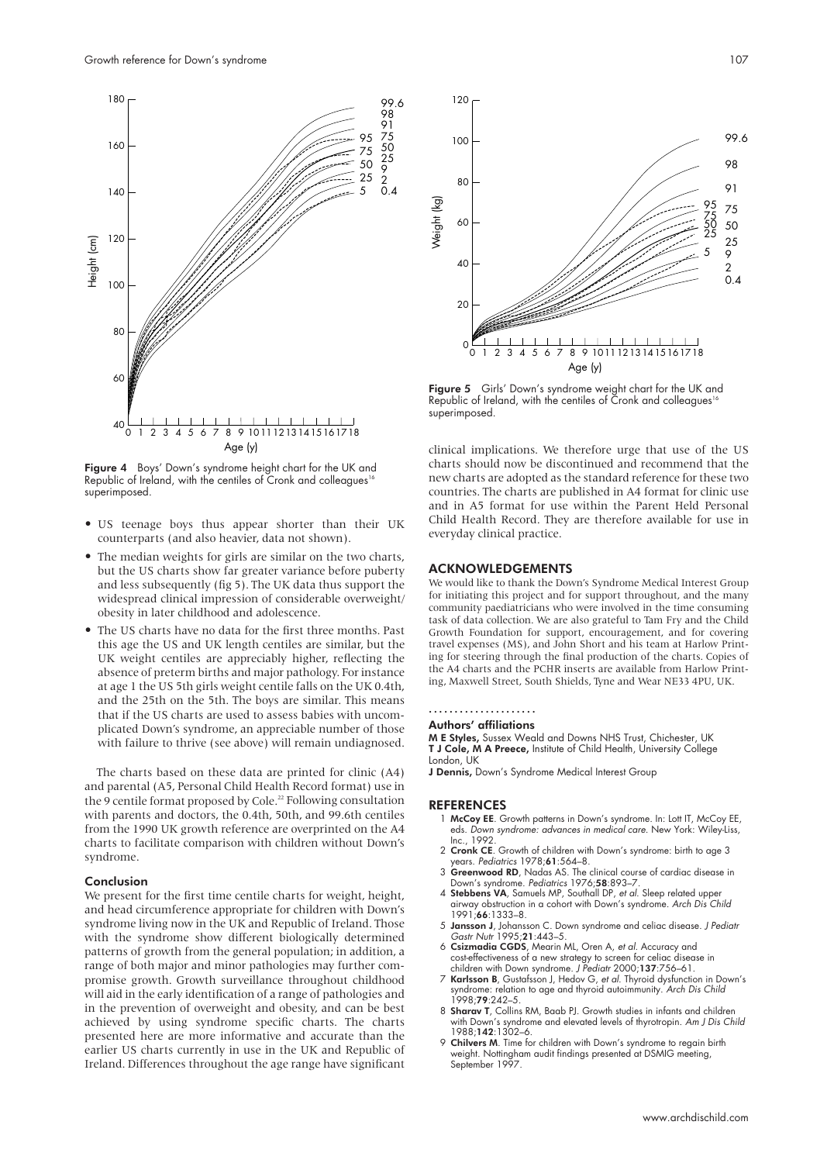

Figure 4 Boys' Down's syndrome height chart for the UK and Republic of Ireland, with the centiles of Cronk and colleagues<sup>16</sup> superimposed.

- US teenage boys thus appear shorter than their UK counterparts (and also heavier, data not shown).
- The median weights for girls are similar on the two charts, but the US charts show far greater variance before puberty and less subsequently (fig 5). The UK data thus support the widespread clinical impression of considerable overweight/ obesity in later childhood and adolescence.
- The US charts have no data for the first three months. Past this age the US and UK length centiles are similar, but the UK weight centiles are appreciably higher, reflecting the absence of preterm births and major pathology. For instance at age 1 the US 5th girls weight centile falls on the UK 0.4th, and the 25th on the 5th. The boys are similar. This means that if the US charts are used to assess babies with uncomplicated Down's syndrome, an appreciable number of those with failure to thrive (see above) will remain undiagnosed.

The charts based on these data are printed for clinic (A4) and parental (A5, Personal Child Health Record format) use in the 9 centile format proposed by Cole.<sup>22</sup> Following consultation with parents and doctors, the 0.4th, 50th, and 99.6th centiles from the 1990 UK growth reference are overprinted on the A4 charts to facilitate comparison with children without Down's syndrome.

## Conclusion

We present for the first time centile charts for weight, height, and head circumference appropriate for children with Down's syndrome living now in the UK and Republic of Ireland. Those with the syndrome show different biologically determined patterns of growth from the general population; in addition, a range of both major and minor pathologies may further compromise growth. Growth surveillance throughout childhood will aid in the early identification of a range of pathologies and in the prevention of overweight and obesity, and can be best achieved by using syndrome specific charts. The charts presented here are more informative and accurate than the earlier US charts currently in use in the UK and Republic of Ireland. Differences throughout the age range have significant



**Figure 5** Girls' Down's syndrome weight chart for the UK and Republic of Ireland, with the centiles of Cronk and colleagues $^{16}$ superimposed.

clinical implications. We therefore urge that use of the US charts should now be discontinued and recommend that the new charts are adopted as the standard reference for these two countries. The charts are published in A4 format for clinic use and in A5 format for use within the Parent Held Personal Child Health Record. They are therefore available for use in everyday clinical practice.

## ACKNOWLEDGEMENTS

We would like to thank the Down's Syndrome Medical Interest Group for initiating this project and for support throughout, and the many community paediatricians who were involved in the time consuming task of data collection. We are also grateful to Tam Fry and the Child Growth Foundation for support, encouragement, and for covering travel expenses (MS), and John Short and his team at Harlow Printing for steering through the final production of the charts. Copies of the A4 charts and the PCHR inserts are available from Harlow Printing, Maxwell Street, South Shields, Tyne and Wear NE33 4PU, UK.

## .....................

## Authors' affiliations

M E Styles, Sussex Weald and Downs NHS Trust, Chichester, UK T J Cole, M A Preece, Institute of Child Health, University College London, UK

J Dennis, Down's Syndrome Medical Interest Group

## REFERENCES

- 1 McCoy EE. Growth patterns in Down's syndrome. In: Lott IT, McCoy EE, eds. Down syndrome: advances in medical care. New York: Wiley-Liss, Inc., 1992.
- 2 Cronk CE. Growth of children with Down's syndrome: birth to age 3 years. Pediatrics 1978;61:564–8.
- 3 Greenwood RD, Nadas AS. The clinical course of cardiac disease in Down's syndrome. Pediatrics 1976;58:893-7
- 4 Stebbens VA, Samuels MP, Southall DP, et al. Sleep related upper airway obstruction in a cohort with Down's syndrome. Arch Dis Child 1991;66:1333–8.
- 5 Jansson J, Johansson C. Down syndrome and celiac disease. J Pediatr Gastr Nutr 1995;21:443–5.
- 6 Csizmadia CGDS, Mearin ML, Oren A, et al. Accuracy and cost-effectiveness of a new strategy to screen for celiac disease in children with Down syndrome. J Pediatr 2000;137:756–61.
- 7 Karlsson B, Gustafsson J, Hedov G, et al. Thyroid dysfunction in Down's syndrome: relation to age and thyroid autoimmunity. Arch Dis Child 1998;79:242–5.
- 8 Sharav T, Collins RM, Baab PJ. Growth studies in infants and children with Down's syndrome and elevated levels of thyrotropin. Am J Dis Child 1988;142:1302–6.
- 9 Chilvers M. Time for children with Down's syndrome to regain birth weight. Nottingham audit findings presented at DSMIG meeting, September 1997.